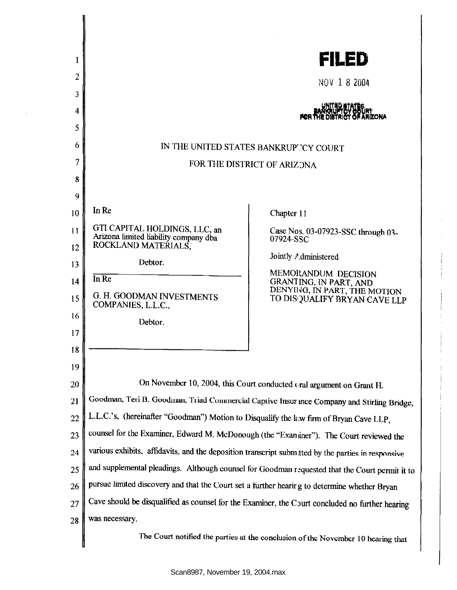| 1        |                                                                                                    | FILED                                                                                  |
|----------|----------------------------------------------------------------------------------------------------|----------------------------------------------------------------------------------------|
| 2        |                                                                                                    |                                                                                        |
| 3        |                                                                                                    | NOV 1 8 2004                                                                           |
| 4        |                                                                                                    |                                                                                        |
| 5        |                                                                                                    |                                                                                        |
| 6        | IN THE UNITED STATES BANKRUPTCY COURT                                                              |                                                                                        |
| 7        | FOR THE DISTRICT OF ARIZONA                                                                        |                                                                                        |
| 8        |                                                                                                    |                                                                                        |
| 9        |                                                                                                    |                                                                                        |
| 10       | In Re                                                                                              | Chapter 11                                                                             |
| 11       | GTI CAPITAL HOLDINGS, LLC, an<br>Arizona limited liability company dba                             | Case Nos. 03-07923-SSC through 03-<br>07924-SSC                                        |
| 12       | ROCKLAND MATERIALS.<br>Debtor.                                                                     | Jointly Administered                                                                   |
| 13       | In Re                                                                                              | MEMORANDUM DECISION                                                                    |
| 14<br>15 | G. H. GOODMAN INVESTMENTS<br>COMPANIES, L.L.C.,                                                    | GRANTING, IN PART, AND<br>DENYING, IN PART, THE MOTION<br>TO DISQUALIFY BRYAN CAVE LLP |
| 16       | Debtor.                                                                                            |                                                                                        |
| 17       |                                                                                                    |                                                                                        |
| 18       |                                                                                                    |                                                                                        |
| 19       |                                                                                                    |                                                                                        |
| 20       | On November 10, 2004, this Court conducted Gral argument on Grant H.                               |                                                                                        |
| 21       | Goodman, Teri B. Goodman, Triad Commercial Captive Insurance Company and Stirling Bridge,          |                                                                                        |
| 22       | L.L.C.'s, (hereinafter "Goodman") Motion to Disqualify the kw firm of Bryan Cave LLP,              |                                                                                        |
| 23       | counsel for the Examiner, Edward M. McDonough (the "Examiner"). The Court reviewed the             |                                                                                        |
| 24       | various exhibits, affidavits, and the deposition transcript submitted by the parties in responsive |                                                                                        |
| 25       | and supplemental pleadings. Although counsel for Goodman requested that the Court permit it to     |                                                                                        |
| 26       | pursue limited discovery and that the Court set a further hearing to determine whether Bryan       |                                                                                        |
| 27       | Cave should be disqualified as counsel for the Examiner, the Court concluded no further hearing    |                                                                                        |
| 28       | was necessary.                                                                                     |                                                                                        |
|          | The Court notified the parties at the conclusion of the November 10 hearing that                   |                                                                                        |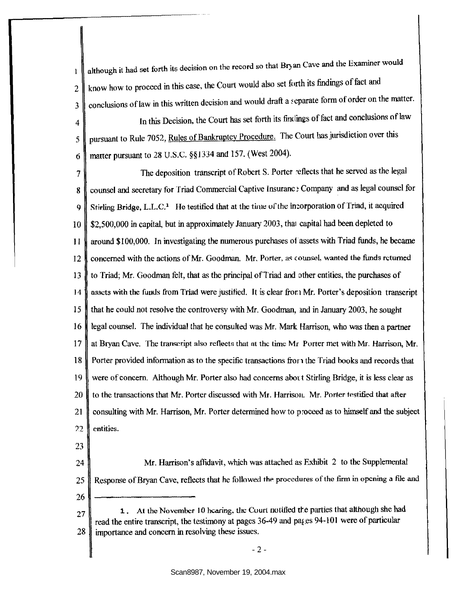although it had set forth its decision on the record so that Bryan Cave and the Examiner would  $\mathbf{1}$ know how to proceed in this case, the Court would also set forth its findings of fact and 2 conclusions of law in this written decision and would draft a separate form of order on the matter. 3

4 In this Decision, the Court has set forth its findings of fact and conclusions of law 5 pursuant to Rule 7052, Rules of Bankruptcy Procedure. The Court has jurisdiction over this 6 matter pursuant to 28 U.S.C. §§1334 and 157. (West 2004).

7 The deposition transcript of Robert S. Porter reflects that he served as the legal 8 counsel and secretary for Triad Commercial Captive Insuranc : Company and as legal counsel for 9 | Stirling Bridge, L.L.C.<sup>1</sup> He testified that at the time of the incorporation of Triad, it acquired 10 | \$2,500,000 in capital, but in approximately January 2003, that capital had been depleted to II around \$100,000. In investigating the numerous purchases of assets with Triad funds, he became 12 concerned with the actions of Mr. Goodman. Mr. Porter, as counsel, wanted the funds returned 13 to Triad; Mr. Goodman felt, that as the principal of Triad and other entities, the purchases of 14 assets with the fuuds from Triad were justified. It is clear from Mr. Porter's deposition transcript 15 that he could not resolve the controversy with Mr. Goodman, md in January 2003, he sought 16 legal counsel. The individual that he consulted was Mr. Mark Harrison, who was then a partner 17 at Bryan Cave. The transcript also reflects that at the time Mr Porter met with Mr. Harrison, Mr. 18 Porter provided information as to the specific transactions fror 1 the Triad books and records that 19 were of concern. Although Mr. Porter also had concerns abort Stirling Bridge, it is less clear as 20  $\parallel$  to the transactions that Mr. Porter discussed with Mr. Harrison. Mr. Porter testified that after 21 consulting with Mr. Harrison, Mr. Porter determined how to proceed as to himself and the subject 22 lentities.

23

24 Mr. Harrison's affidavit, which was attached as Exhibit 2 to the Supplemental 25 | Response of Bryan Cave, reflects that he followed the procedures of the firm in opening a file and 26

27 28 1. At the November 10 hearing, the Court notified the parties that although she had read the entire transcript, the testimony at pages 36-49 and pages 94-101 were of particular importance and concern in resolving these issues.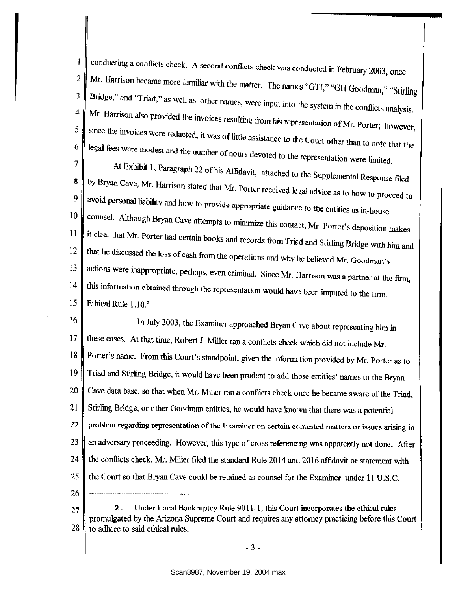conducting a conflicts check. A second conflicts check was conducted in February 2003, once  $\mathbf{1}$ 2 Mr. Harrison became more familiar with the matter. The names "GTI," "GH Goodman," "Stirling Bridge," and "Triad," as well as other names, were input into the system in the conflicts analysis. 3 Mr. Harrison also provided the invoices resulting from his representation of Mr. Porter; however,  $\boldsymbol{4}$ since the invoices were redacted, it was of little assistance to the Court other than to note that the 5 6 legal fees were modest and the nwnber of hours devoted to the representation were limited.

7

At Exhibit 1, Paragraph 22 of his Affidavit, attached to the Supplemental Response filed  $\begin{array}{c} 8 \ 9 \ 0 \end{array}$  by Bryan Cave, Mr. Harrison stated that Mr. Porter received legal advice as to how to proceed to avoid personal linkities and h 8 avoid personal liability and how to provide appropriate guidance to the entities as in-house counsel. Although Bryan Cave attempts to minimize this contact, Mr. Porter's deposition makes 10 II it clear that Mr. Porter had certain books and records from Trued and Stirling Bridge with him and 12  $\parallel$  that he discussed the loss of cash from the operations and why he believed Mr. Goodman's 13 actions were inappropriate, perhaps, even criminal. Since Mr. Harrison was a partner at the firm, 14  $\parallel$  this information obtained through the representation would have been imputed to the firm. 15 Ethical Rule  $1.10<sup>2</sup>$ 

16 In July 2003, the Examiner approached Bryan Cave about representing him in 17 these cases. At that time, Robert J. Miller ran a conflicts check which did not include Mr. 18 Porter's name. From this Court's standpoint, given the information provided by Mr. Porter as to 19 20 21 22 23 24 25 26 Triad and Stirling Bridge, it would have been prudent to add those entities' names to the Bryan Cave data base, so that when Mr. Miller ran a conflicts check once he became aware ofthe Triad, Stirling Bridge, or other Goodman entities, he would have kno·w that there was a potential problem regarding representation of the Examiner on certain contested matters or issues arising in an adversary proceeding. However, this type of cross referenc ng was apparently not done. After the conflicts check, Mr. Miller filed the standard Rule 2014 and 2016 affidavit or statement with the Court so that Bryan Cave could be retained as counsel for the Examiner under 11 U.S.C.

27 28 2 . Under Local Bankruptcy Rule 9011-1, this Court incorporates the ethical rules promulgated by the Arizona Supreme Court and requires any attorney practicing before this Court to adhere to said ethical rules.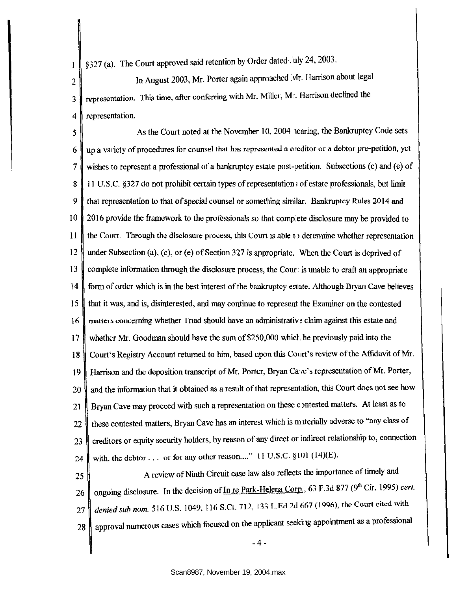§327 (a). The Court approved said retention by Order dated . uly 24, 2003.

 $\mathbf{1}$ 

2 | In August 2003, Mr. Porter again approached Mr. Harrison about legal  $3$  representation. This time, after conferring with Mr. Miller, Mr. Harrison declined the 4 | representation.

5 As the Court noted at the November 10, 2004 1earing, the Bankruptcy Code sets  $6 \parallel$  up a variety of procedures for counsel that has represented a creditor or a debtor pre-petition, yet 7 wishes to represent a professional of a bankruptcy estate post-ootition. Subsections (c) and (e) of 8 | 11 U.S.C. §327 do not prohibit certain types of representation; of estate professionals, but limit 9 that representation to that of special counsel or something similar. Bankruptcy Rules 2014 and 10 2016 provide the framework to the professionals so that comp ete disclosure may be provided to 11 the Court. Through the disclosure process, this Court is able to determine whether representation 12 under Subsection (a), (c), or (e) of Section 327 is appropriate. When the Court is deprived of 13 complete infonnation through the disclosure process, the Cour is unable to craft an appropriate 14 form of order which is in the best interest of the bankruptcy estate. Although Bryan Cave believes 15 that it was, and is, disinterested, and may continue to represent the Examiner on the contested 16 matters concerning whether Triad should have an administrative claim against this estate and 17 whether Mr. Goodman should have the sum of\$250,000 whiel. he previously paid into the 18 Court's Registry Account returned to him, based upon this Court's review of the Affidavit of Mr. 19 Harrison and the deposition transcript of Mr. Porter, Bryan Ca<sup>1</sup>e's representation of Mr. Porter, 20 and the information that it obtained as a result of that representation, this Court does not see how 21 Bryan Cave may proceed with such a representation on these contested matters. At least as to 22 these contested matters, Bryan Cave has an interest which is m iterially adverse to "any class of 23 creditors or equity security holders, by reason of any direct or indirect relationship to, connection 24 with, the debtor ... or for any other reason...." 11 U.S.C. §101 (14)(E).

25 A review of Ninth Circuit case law also reflects the importance of timely and 26 ongoing disclosure. In the decision of In re Park-Helena Corp., 63 F.3d 877 (9<sup>th</sup> Cir. 1995) *cert.* 27 *denied sub nom.* 516 U.S. 1049, 116 S.Ct. 712, 133 L.Ed.2d 667 (1996), the Court cited with 28 approval numerous cases which focused on the applicant seeking appointment as a professional

-4-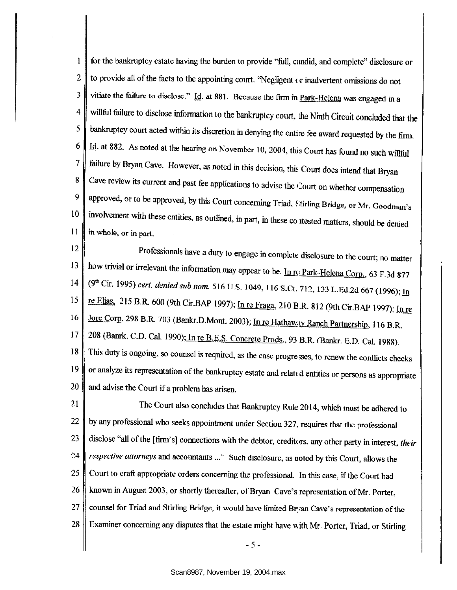for the bankruptcy estate having the burden to provide "full, c:mdid, and complete" disclosure or 1 2  $\parallel$  to provide all of the facts to the appointing court. "Negligent  $\epsilon$ r inadvertent omissions do not 3 vitiate the failure to disclose." Id. at 881. Because the firm in Park-Helena was engaged in a 4 willful failure to disclose information to the bankruptcy court, the Ninth Circuit concluded that the  $5 \parallel$  bankruptcy court acted within its discretion in denying the entire fee award requested by the firm.  $6 \parallel$  Id. at 882. As noted at the hearing on November 10, 2004, this Court has found no such willful 7 failure by Bryan Cave. However, as noted in this decision, this Court does intend that Bryan 8 Cave review its current and past fee applications to advise the Court on whether compensation 9 approved, or to be approved, by this Court concerning Triad, Stirling Bridge, or Mr. Goodman's 10 involvement with these entities, as outlined, in part, in these contested matters, should be denied II in whole, or in part.

12 Professionals have a duty to engage in complete disclosure to the court; no matter 13 how trivial or irrelevant the information may appear to be. In replace Park-Helena Corp., 63 F.3d 877 14 *(9<sup>th</sup> Cir. 1995) cert. denied sub nom.* 516 U.S. 1049, 116 S.Ct. 712, 133 L.Ed.2d 667 (1996); <u>In</u> 15 **re Elias, 215 B.R. 600 (9th Cir.BAP 1997)**; In re Fraga, 210 B.R. 812 (9th Cir.BAP 1997); In re 16 Jore Corp. 298 B.R. 703 (Bankr.D.Mont. 2003); In re Hathaw.w Ranch Partnership, 116 B.R. 17 208 (Banrk. C.D. Cal. 1990); In re B.E.S. Concrete Prods., 93 B.R. (Bankr. E.D. Cal. 1988). 18 This duty is ongoing, so counsel is required, as the case progresses, to renew the conflicts checks 19 or analyze its representation of the bankruptcy estate and related entities or persons as appropriate 20  $\parallel$  and advise the Court if a problem has arisen.

21 The Court also concludes that Bankruptcy Rule 2014, which must be adhered to 22  $\parallel$  by any professional who seeks appointment under Section 327, requires that the professional 23 disclose "all of the [firm's] connections with the debtor, creditors, any other party in interest, *their* 24 *respective allurneys* and accountants ... " Such disclosure, as noted by this Court, allows the 25 Court to craft appropriate orders concerning the professional. In this case, if the Court had 26 known in August 2003, or shortly thereafter, of Bryan Cave's representation of Mr. Porter, 27 counsel for Triad and Stirling Rridge, it would have limited Br;/an Cave's representation of the 28 Examiner concerning any disputes that the estate might have \\ith Mr. Porter, Triad, or Stirling

- 5 -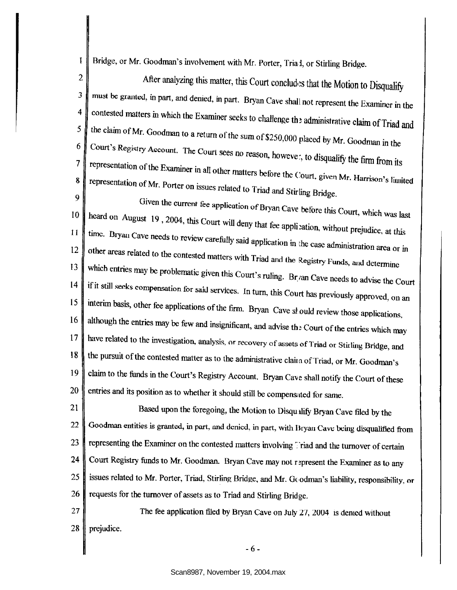1 Bridge, or Mr. Goodman's involvement with Mr. Porter, Tria I, or Stirling Bridge.

 $\boldsymbol{Q}$ 

2 After analyzing this matter, this Court concludes that the Motion to Disqualify 3 must be granted, in part, and denied, in part. Bryan Cave shall not represent the Examiner in the 4 contested matters in which the Examiner seeks to challenge the administrative claim of Triad and the claim of Mr. Goodman to a return of the sum of \$250,000 placed by Mr. Goodman in the 5 Court's Registry Account. The Court sees no reason, howeve:, to disqualify the firm from its 6 7 representation of the Examiner in all other matters before the Court, given Mr. Harrison's limited representation of Mr. Decrees in the contract of  $\mathbf{M}_{\text{F}}$ . 7 representation of Mr. Porter on issues related to Triad and Stirling Bridge.

<sup>9</sup> Given the current fee application of Bryan Cave before this Court, which was last  $10^{10}$  heard on August 10, 2004. It is a  $\begin{bmatrix} 10 \\ 11 \end{bmatrix}$  heard on August 19, 2004, this Court will deny that fee application, without prejudice, at this time. Bryan Cove position 11  $\left\| \begin{array}{c} \text{time.} \\ \text{th.} \end{array} \right\|$  time. Bryan Cave needs to review carefully said application in the case administration area or in other areas related to the contested matters with Triad and the Registry Funds, and determine which entries may be problematic given this Court's ruling. Br/an Cave needs to advise the Court 13 14 if it still seeks compensation for said services. In turn, this Court has previously approved, on an 15 interim basis, other fee applications of the firm. Bryan Cave sl ould review those applications, 16 although the entries may be few and insignificant, and advise the Court of the entries which may 17 have related to the investigation, analysis, or recovery of assets of Triad or Stirling Bridge, and 18 the pursuit of the contested matter as to the administrative claim of Triad, or Mr. Goodman's 19 claim to the funds in the Court's Registry Account. Bryan Cave shall notify the Court of these  $20 \parallel$  entries and its position as to whether it should still be compensated for same.

21 22 23 24 25 Based upon the foregoing, the Motion to Disqu ilifY Bryan Cave filed by the Goodman entities is granted, in part, and denied, in part, with Bryan Cave being disqualified from representing the Examiner on the contested matters involving Friad and the turnover of certain Court Registry funds to Mr. Goodman. Bryan Cave may not represent the Examiner as to any issues related to Mr. Porter, Triad, Stirling Bridge, and Mr. Goodman's liability, responsibility, or 26  $\parallel$  requests for the turnover of assets as to Triad and Stirling Bridge.

27  $\parallel$  The fee application filed by Bryan Cave on July 27, 2004 is denied without 28 | prejudice.

- 6 -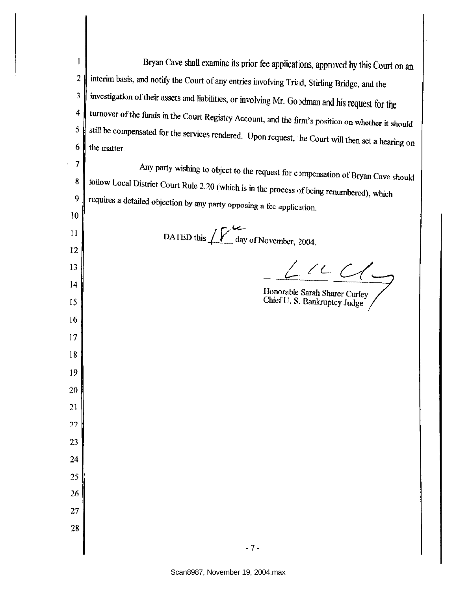Bryan Cave shall examine its prior fee applications, approved hy this Court on an 1 interim basis, and notify the Court of any entries involving Trind, Stirling Bridge, and the 2 investigation of their assets and liabilities, or involving Mr. Go adman and his request for the 3 4 turnover of the funds in the Court Registry Account, and the firm's position on whether it should 5 still be compensated for the services rendered. Upon request, the Court will then set a hearing on 6 the matter. 7 Any party wishing to object to the request for compensation of Bryan Cave should 8 tollow Local District Court Rule 2.20 (which is in the process of being renumbered), which  $9 \parallel$  requires a detailed objection by any party opposing a fcc application. 10 DATED this  $\sqrt{\frac{V}{\text{day of November}}}, 2004$ . II 12  $Lncc$ 13 14 Honorable Sarah Sharer Curley Chief U. S. Bankruptcy Judge 15 16 17 18 19 20 21 22 23 24 25 26 27 28 - 7-